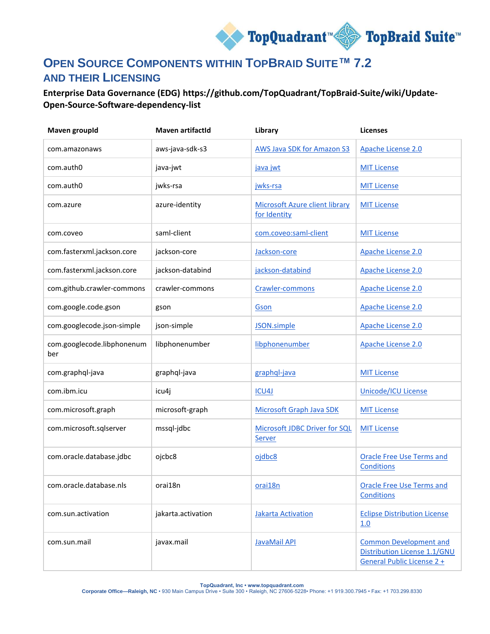

## **OPEN SOURCE COMPONENTS WITHIN TOPBRAID SUITE™ 7.2 AND THEIR LICENSING**

**Enterprise Data Governance (EDG) https://github.com/TopQuadrant/TopBraid-Suite/wiki/Update-Open-Source-Software-dependency-list**

| <b>Maven groupId</b>              | <b>Maven artifactId</b> | Library                                               | <b>Licenses</b>                                                                             |
|-----------------------------------|-------------------------|-------------------------------------------------------|---------------------------------------------------------------------------------------------|
| com.amazonaws                     | aws-java-sdk-s3         | <b>AWS Java SDK for Amazon S3</b>                     | Apache License 2.0                                                                          |
| com.auth0                         | java-jwt                | java jwt                                              | <b>MIT License</b>                                                                          |
| com.auth0                         | jwks-rsa                | jwks-rsa                                              | <b>MIT License</b>                                                                          |
| com.azure                         | azure-identity          | <b>Microsoft Azure client library</b><br>for Identity | <b>MIT License</b>                                                                          |
| com.coveo                         | saml-client             | com.coveo:saml-client                                 | <b>MIT License</b>                                                                          |
| com.fasterxml.jackson.core        | jackson-core            | Jackson-core                                          | Apache License 2.0                                                                          |
| com.fasterxml.jackson.core        | jackson-databind        | jackson-databind                                      | Apache License 2.0                                                                          |
| com.github.crawler-commons        | crawler-commons         | Crawler-commons                                       | Apache License 2.0                                                                          |
| com.google.code.gson              | gson                    | Gson                                                  | Apache License 2.0                                                                          |
| com.googlecode.json-simple        | json-simple             | JSON.simple                                           | Apache License 2.0                                                                          |
| com.googlecode.libphonenum<br>ber | libphonenumber          | libphonenumber                                        | Apache License 2.0                                                                          |
| com.graphql-java                  | graphql-java            | graphql-java                                          | <b>MIT License</b>                                                                          |
| com.ibm.icu                       | icu4j                   | ICU4J                                                 | <b>Unicode/ICU License</b>                                                                  |
| com.microsoft.graph               | microsoft-graph         | Microsoft Graph Java SDK                              | <b>MIT License</b>                                                                          |
| com.microsoft.sqlserver           | mssql-jdbc              | Microsoft JDBC Driver for SQL<br>Server               | <b>MIT License</b>                                                                          |
| com.oracle.database.jdbc          | ojcbc8                  | ojdbc8                                                | <b>Oracle Free Use Terms and</b><br>Conditions                                              |
| com.oracle.database.nls           | orai18n                 | orai18n                                               | <b>Oracle Free Use Terms and</b><br>Conditions                                              |
| com.sun.activation                | jakarta.activation      | <b>Jakarta Activation</b>                             | <b>Eclipse Distribution License</b><br>1.0                                                  |
| com.sun.mail                      | javax.mail              | JavaMail API                                          | <b>Common Development and</b><br>Distribution License 1.1/GNU<br>General Public License 2 + |

**TopQuadrant, Inc • www.topquadrant.com**

**Corporate Office—Raleigh, NC** • 930 Main Campus Drive • Suite 300 • Raleigh, NC 27606-5228• Phone: +1 919.300.7945 • Fax: +1 703.299.8330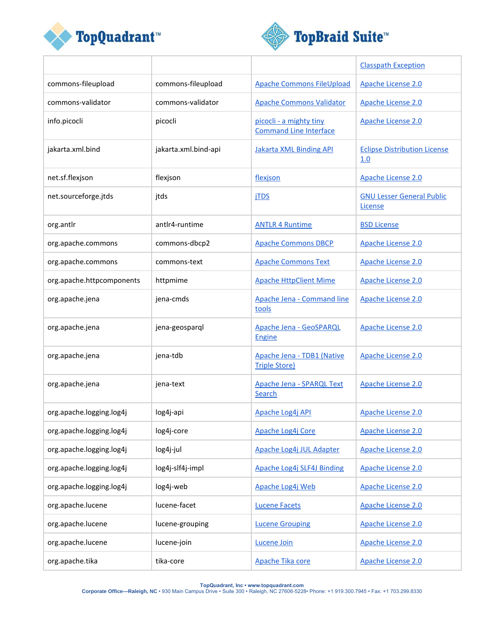



|                           |                      |                                                          | <b>Classpath Exception</b>                  |
|---------------------------|----------------------|----------------------------------------------------------|---------------------------------------------|
| commons-fileupload        | commons-fileupload   | <b>Apache Commons FileUpload</b>                         | Apache License 2.0                          |
| commons-validator         | commons-validator    | <b>Apache Commons Validator</b>                          | Apache License 2.0                          |
| info.picocli              | picocli              | picocli - a mighty tiny<br><b>Command Line Interface</b> | Apache License 2.0                          |
| jakarta.xml.bind          | jakarta.xml.bind-api | <b>Jakarta XML Binding API</b>                           | <b>Eclipse Distribution License</b><br>1.0  |
| net.sf.flexjson           | flexjson             | flexjson                                                 | Apache License 2.0                          |
| net.sourceforge.jtds      | jtds                 | <b>iTDS</b>                                              | <b>GNU Lesser General Public</b><br>License |
| org.antlr                 | antlr4-runtime       | <b>ANTLR 4 Runtime</b>                                   | <b>BSD License</b>                          |
| org.apache.commons        | commons-dbcp2        | <b>Apache Commons DBCP</b>                               | Apache License 2.0                          |
| org.apache.commons        | commons-text         | <b>Apache Commons Text</b>                               | Apache License 2.0                          |
| org.apache.httpcomponents | httpmime             | <b>Apache HttpClient Mime</b>                            | Apache License 2.0                          |
| org.apache.jena           | jena-cmds            | Apache Jena - Command line<br>tools                      | Apache License 2.0                          |
| org.apache.jena           | jena-geosparql       | <b>Apache Jena - GeoSPARQL</b><br><b>Engine</b>          | Apache License 2.0                          |
| org.apache.jena           | jena-tdb             | Apache Jena - TDB1 (Native<br><b>Triple Store)</b>       | Apache License 2.0                          |
| org.apache.jena           | jena-text            | <b>Apache Jena - SPARQL Text</b><br>Search               | Apache License 2.0                          |
| org.apache.logging.log4j  | log4j-api            | Apache Log4j API                                         | Apache License 2.0                          |
| org.apache.logging.log4j  | log4j-core           | Apache Log4j Core                                        | Apache License 2.0                          |
| org.apache.logging.log4j  | log4j-jul            | Apache Log4j JUL Adapter                                 | Apache License 2.0                          |
| org.apache.logging.log4j  | log4j-slf4j-impl     | Apache Log4j SLF4J Binding                               | Apache License 2.0                          |
| org.apache.logging.log4j  | log4j-web            | Apache Log4j Web                                         | Apache License 2.0                          |
| org.apache.lucene         | lucene-facet         | <b>Lucene Facets</b>                                     | Apache License 2.0                          |
| org.apache.lucene         | lucene-grouping      | <b>Lucene Grouping</b>                                   | Apache License 2.0                          |
| org.apache.lucene         | lucene-join          | Lucene Join                                              | Apache License 2.0                          |
| org.apache.tika           | tika-core            | Apache Tika core                                         | Apache License 2.0                          |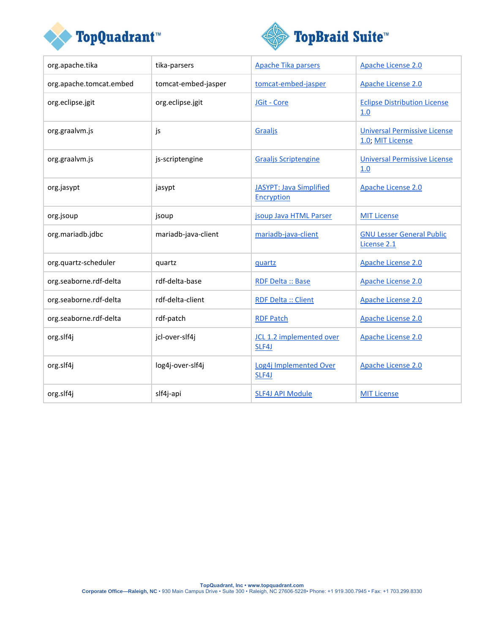



| org.apache.tika         | tika-parsers        | Apache Tika parsers                                 | Apache License 2.0                                      |
|-------------------------|---------------------|-----------------------------------------------------|---------------------------------------------------------|
| org.apache.tomcat.embed | tomcat-embed-jasper | tomcat-embed-jasper                                 | Apache License 2.0                                      |
| org.eclipse.jgit        | org.eclipse.jgit    | JGit - Core                                         | <b>Eclipse Distribution License</b><br>1.0              |
| org.graalvm.js          | js                  | Graaljs                                             | <b>Universal Permissive License</b><br>1.0; MIT License |
| org.graalvm.js          | js-scriptengine     | <b>Graaljs Scriptengine</b>                         | <b>Universal Permissive License</b><br>1.0              |
| org.jasypt              | jasypt              | <b>JASYPT: Java Simplified</b><br><b>Encryption</b> | Apache License 2.0                                      |
| org.jsoup               | jsoup               | jsoup Java HTML Parser                              | <b>MIT License</b>                                      |
| org.mariadb.jdbc        | mariadb-java-client | mariadb-java-client                                 | <b>GNU Lesser General Public</b><br>License 2.1         |
| org.quartz-scheduler    | quartz              | quartz                                              | Apache License 2.0                                      |
| org.seaborne.rdf-delta  | rdf-delta-base      | RDF Delta :: Base                                   | Apache License 2.0                                      |
| org.seaborne.rdf-delta  | rdf-delta-client    | <b>RDF Delta :: Client</b>                          | Apache License 2.0                                      |
| org.seaborne.rdf-delta  | rdf-patch           | <b>RDF Patch</b>                                    | Apache License 2.0                                      |
| org.slf4j               | jcl-over-slf4j      | JCL 1.2 implemented over<br>SLF4J                   | Apache License 2.0                                      |
| org.slf4j               | log4j-over-slf4j    | Log4j Implemented Over<br>SLF4J                     | Apache License 2.0                                      |
| org.slf4j               | slf4j-api           | <b>SLF4J API Module</b>                             | <b>MIT License</b>                                      |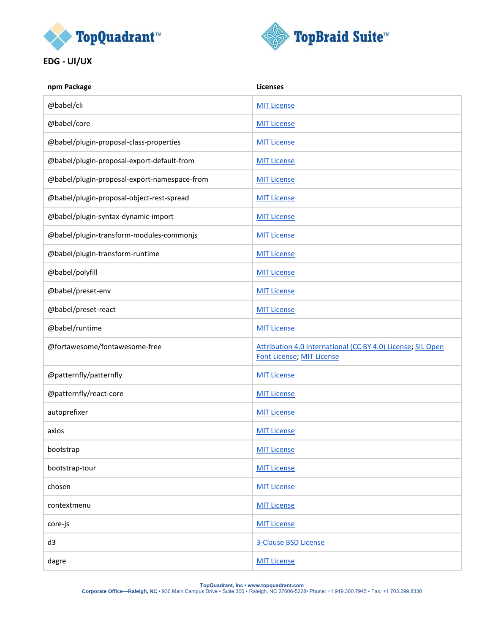



**EDG - UI/UX**

| <b>Licenses</b>                                                                                 |
|-------------------------------------------------------------------------------------------------|
| <b>MIT License</b>                                                                              |
| <b>MIT License</b>                                                                              |
| <b>MIT License</b>                                                                              |
| <b>MIT License</b>                                                                              |
| <b>MIT License</b>                                                                              |
| <b>MIT License</b>                                                                              |
| <b>MIT License</b>                                                                              |
| <b>MIT License</b>                                                                              |
| <b>MIT License</b>                                                                              |
| <b>MIT License</b>                                                                              |
| <b>MIT License</b>                                                                              |
| <b>MIT License</b>                                                                              |
| <b>MIT License</b>                                                                              |
| Attribution 4.0 International (CC BY 4.0) License; SIL Open<br><b>Font License; MIT License</b> |
| <b>MIT License</b>                                                                              |
| <b>MIT License</b>                                                                              |
| <b>MIT License</b>                                                                              |
| <b>MIT License</b>                                                                              |
| <b>MIT License</b>                                                                              |
| <b>MIT License</b>                                                                              |
| <b>MIT License</b>                                                                              |
| <b>MIT License</b>                                                                              |
| <b>MIT License</b>                                                                              |
| <b>3-Clause BSD License</b>                                                                     |
| <b>MIT License</b>                                                                              |
|                                                                                                 |

**TopQuadrant, Inc • www.topquadrant.com Corporate Office—Raleigh, NC** • 930 Main Campus Drive • Suite 300 • Raleigh, NC 27606-5228• Phone: +1 919.300.7945 • Fax: +1 703.299.8330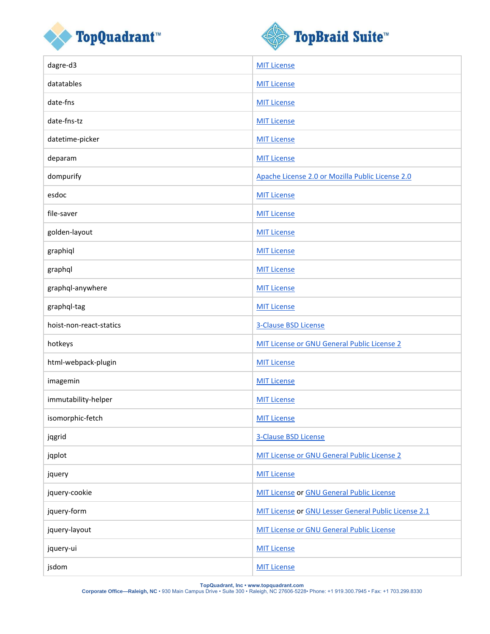



| dagre-d3                | <b>MIT License</b>                                   |
|-------------------------|------------------------------------------------------|
| datatables              | <b>MIT License</b>                                   |
| date-fns                | <b>MIT License</b>                                   |
| date-fns-tz             | <b>MIT License</b>                                   |
| datetime-picker         | <b>MIT License</b>                                   |
| deparam                 | <b>MIT License</b>                                   |
| dompurify               | Apache License 2.0 or Mozilla Public License 2.0     |
| esdoc                   | <b>MIT License</b>                                   |
| file-saver              | <b>MIT License</b>                                   |
| golden-layout           | <b>MIT License</b>                                   |
| graphiql                | <b>MIT License</b>                                   |
| graphql                 | <b>MIT License</b>                                   |
| graphql-anywhere        | <b>MIT License</b>                                   |
| graphql-tag             | <b>MIT License</b>                                   |
|                         |                                                      |
| hoist-non-react-statics | 3-Clause BSD License                                 |
| hotkeys                 | MIT License or GNU General Public License 2          |
| html-webpack-plugin     | <b>MIT License</b>                                   |
| imagemin                | <b>MIT License</b>                                   |
| immutability-helper     | <b>MIT License</b>                                   |
| isomorphic-fetch        | <b>MIT License</b>                                   |
| jqgrid                  | <b>3-Clause BSD License</b>                          |
| jqplot                  | MIT License or GNU General Public License 2          |
| jquery                  | <b>MIT License</b>                                   |
| jquery-cookie           | <b>MIT License or GNU General Public License</b>     |
| jquery-form             | MIT License or GNU Lesser General Public License 2.1 |
| jquery-layout           | <b>MIT License or GNU General Public License</b>     |
| jquery-ui               | <b>MIT License</b>                                   |

**TopQuadrant, Inc • www.topquadrant.com Corporate Office—Raleigh, NC** • 930 Main Campus Drive • Suite 300 • Raleigh, NC 27606-5228• Phone: +1 919.300.7945 • Fax: +1 703.299.8330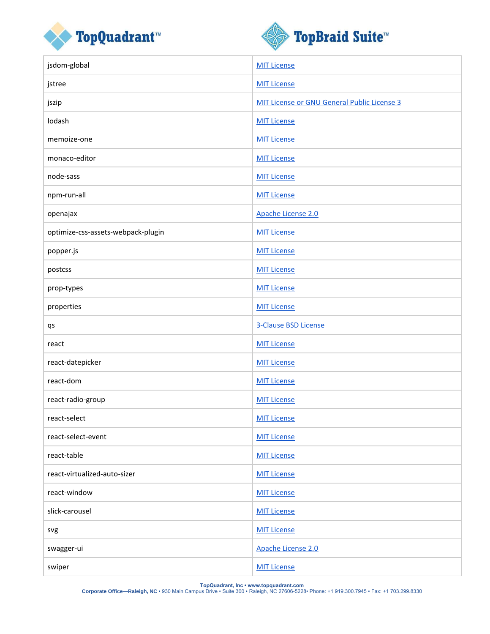



| jsdom-global                       | <b>MIT License</b>                          |
|------------------------------------|---------------------------------------------|
| jstree                             | <b>MIT License</b>                          |
| jszip                              | MIT License or GNU General Public License 3 |
| lodash                             | <b>MIT License</b>                          |
| memoize-one                        | <b>MIT License</b>                          |
| monaco-editor                      | <b>MIT License</b>                          |
| node-sass                          | <b>MIT License</b>                          |
| npm-run-all                        | <b>MIT License</b>                          |
| openajax                           | Apache License 2.0                          |
| optimize-css-assets-webpack-plugin | <b>MIT License</b>                          |
| popper.js                          | <b>MIT License</b>                          |
| postcss                            | <b>MIT License</b>                          |
| prop-types                         | <b>MIT License</b>                          |
| properties                         | <b>MIT License</b>                          |
|                                    |                                             |
| qs                                 | 3-Clause BSD License                        |
| react                              | <b>MIT License</b>                          |
| react-datepicker                   | <b>MIT License</b>                          |
| react-dom                          | <b>MIT License</b>                          |
| react-radio-group                  | <b>MIT License</b>                          |
| react-select                       | <b>MIT License</b>                          |
| react-select-event                 | <b>MIT License</b>                          |
| react-table                        | <b>MIT License</b>                          |
| react-virtualized-auto-sizer       | <b>MIT License</b>                          |
| react-window                       | <b>MIT License</b>                          |
| slick-carousel                     | <b>MIT License</b>                          |
| svg                                | <b>MIT License</b>                          |
| swagger-ui                         | Apache License 2.0                          |

**TopQuadrant, Inc • www.topquadrant.com Corporate Office—Raleigh, NC** • 930 Main Campus Drive • Suite 300 • Raleigh, NC 27606-5228• Phone: +1 919.300.7945 • Fax: +1 703.299.8330